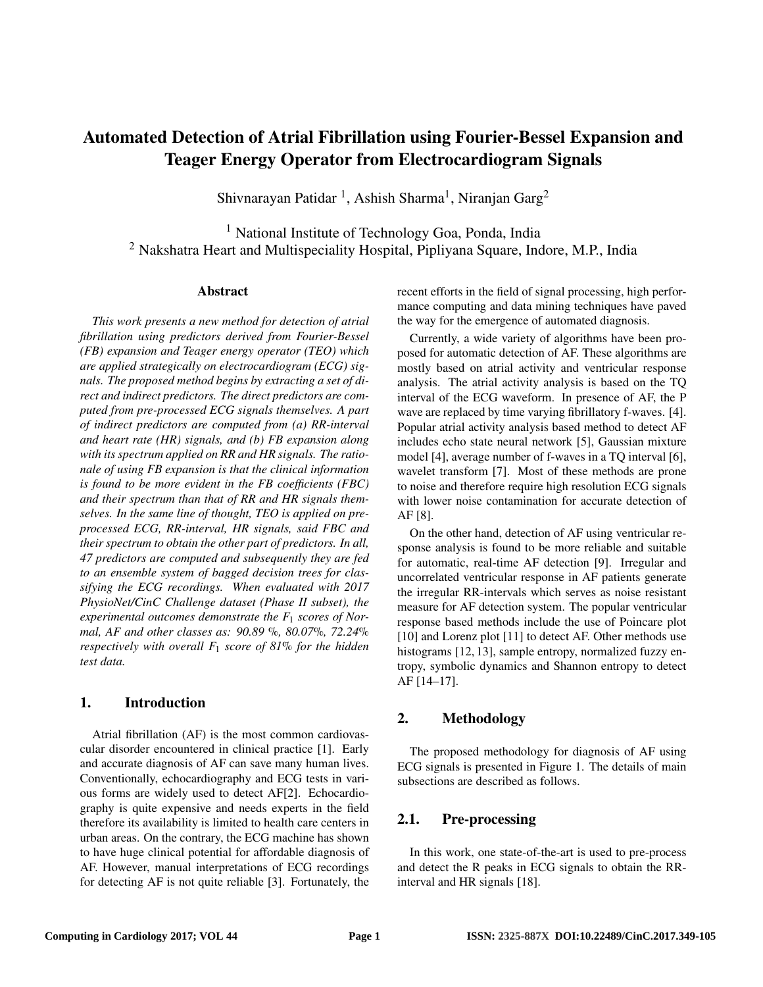# Automated Detection of Atrial Fibrillation using Fourier-Bessel Expansion and Teager Energy Operator from Electrocardiogram Signals

Shivnarayan Patidar <sup>1</sup>, Ashish Sharma<sup>1</sup>, Niranjan Garg<sup>2</sup>

<sup>1</sup> National Institute of Technology Goa, Ponda, India <sup>2</sup> Nakshatra Heart and Multispeciality Hospital, Pipliyana Square, Indore, M.P., India

#### Abstract

*This work presents a new method for detection of atrial fibrillation using predictors derived from Fourier-Bessel (FB) expansion and Teager energy operator (TEO) which are applied strategically on electrocardiogram (ECG) signals. The proposed method begins by extracting a set of direct and indirect predictors. The direct predictors are computed from pre-processed ECG signals themselves. A part of indirect predictors are computed from (a) RR-interval and heart rate (HR) signals, and (b) FB expansion along with its spectrum applied on RR and HR signals. The rationale of using FB expansion is that the clinical information is found to be more evident in the FB coefficients (FBC) and their spectrum than that of RR and HR signals themselves. In the same line of thought, TEO is applied on preprocessed ECG, RR-interval, HR signals, said FBC and their spectrum to obtain the other part of predictors. In all, 47 predictors are computed and subsequently they are fed to an ensemble system of bagged decision trees for classifying the ECG recordings. When evaluated with 2017 PhysioNet/CinC Challenge dataset (Phase II subset), the experimental outcomes demonstrate the F*<sup>1</sup> *scores of Normal, AF and other classes as: 90.89* %*, 80.07*%*, 72.24*% *respectively with overall F*<sup>1</sup> *score of 81*% *for the hidden test data.*

## 1. Introduction

Atrial fibrillation (AF) is the most common cardiovascular disorder encountered in clinical practice [1]. Early and accurate diagnosis of AF can save many human lives. Conventionally, echocardiography and ECG tests in various forms are widely used to detect AF[2]. Echocardiography is quite expensive and needs experts in the field therefore its availability is limited to health care centers in urban areas. On the contrary, the ECG machine has shown to have huge clinical potential for affordable diagnosis of AF. However, manual interpretations of ECG recordings for detecting AF is not quite reliable [3]. Fortunately, the recent efforts in the field of signal processing, high performance computing and data mining techniques have paved the way for the emergence of automated diagnosis.

Currently, a wide variety of algorithms have been proposed for automatic detection of AF. These algorithms are mostly based on atrial activity and ventricular response analysis. The atrial activity analysis is based on the TQ interval of the ECG waveform. In presence of AF, the P wave are replaced by time varying fibrillatory f-waves. [4]. Popular atrial activity analysis based method to detect AF includes echo state neural network [5], Gaussian mixture model [4], average number of f-waves in a TQ interval [6], wavelet transform [7]. Most of these methods are prone to noise and therefore require high resolution ECG signals with lower noise contamination for accurate detection of AF [8].

On the other hand, detection of AF using ventricular response analysis is found to be more reliable and suitable for automatic, real-time AF detection [9]. Irregular and uncorrelated ventricular response in AF patients generate the irregular RR-intervals which serves as noise resistant measure for AF detection system. The popular ventricular response based methods include the use of Poincare plot [10] and Lorenz plot [11] to detect AF. Other methods use histograms [12, 13], sample entropy, normalized fuzzy entropy, symbolic dynamics and Shannon entropy to detect AF [14–17].

# 2. Methodology

The proposed methodology for diagnosis of AF using ECG signals is presented in Figure 1. The details of main subsections are described as follows.

# 2.1. Pre-processing

In this work, one state-of-the-art is used to pre-process and detect the R peaks in ECG signals to obtain the RRinterval and HR signals [18].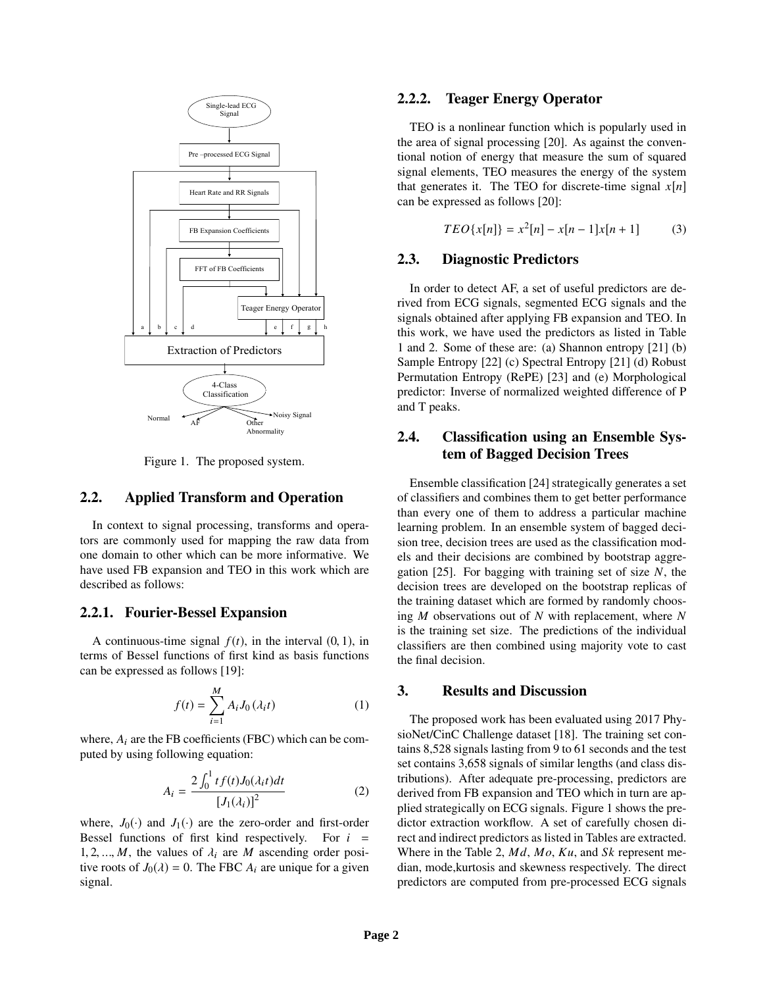

Figure 1. The proposed system.

## 2.2. Applied Transform and Operation

In context to signal processing, transforms and operators are commonly used for mapping the raw data from one domain to other which can be more informative. We have used FB expansion and TEO in this work which are described as follows:

## 2.2.1. Fourier-Bessel Expansion

A continuous-time signal  $f(t)$ , in the interval  $(0, 1)$ , in terms of Bessel functions of first kind as basis functions can be expressed as follows [19]:

$$
f(t) = \sum_{i=1}^{M} A_i J_0(\lambda_i t)
$$
 (1)

where,  $A_i$  are the FB coefficients (FBC) which can be computed by using following equation:

$$
A_{i} = \frac{2\int_{0}^{1} tf(t)J_{0}(\lambda_{i}t)dt}{[J_{1}(\lambda_{i})]^{2}}
$$
 (2)

where,  $J_0(\cdot)$  and  $J_1(\cdot)$  are the zero-order and first-order Bessel functions of first kind respectively. For *i* = 1, 2, ..., *M*, the values of  $\lambda_i$  are *M* ascending order positive roots of  $J_0(\lambda) = 0$ . The FBC  $A_i$  are unique for a given signal.

#### 2.2.2. Teager Energy Operator

TEO is a nonlinear function which is popularly used in the area of signal processing [20]. As against the conventional notion of energy that measure the sum of squared signal elements, TEO measures the energy of the system that generates it. The TEO for discrete-time signal  $x[n]$ can be expressed as follows [20]:

$$
TEO\{x[n]\} = x^2[n] - x[n-1]x[n+1] \tag{3}
$$

## 2.3. Diagnostic Predictors

In order to detect AF, a set of useful predictors are derived from ECG signals, segmented ECG signals and the signals obtained after applying FB expansion and TEO. In this work, we have used the predictors as listed in Table 1 and 2. Some of these are: (a) Shannon entropy [21] (b) Sample Entropy [22] (c) Spectral Entropy [21] (d) Robust Permutation Entropy (RePE) [23] and (e) Morphological predictor: Inverse of normalized weighted difference of P and T peaks.

## 2.4. Classification using an Ensemble System of Bagged Decision Trees

Ensemble classification [24] strategically generates a set of classifiers and combines them to get better performance than every one of them to address a particular machine learning problem. In an ensemble system of bagged decision tree, decision trees are used as the classification models and their decisions are combined by bootstrap aggregation [25]. For bagging with training set of size *N*, the decision trees are developed on the bootstrap replicas of the training dataset which are formed by randomly choosing *M* observations out of *N* with replacement, where *N* is the training set size. The predictions of the individual classifiers are then combined using majority vote to cast the final decision.

#### 3. Results and Discussion

The proposed work has been evaluated using 2017 PhysioNet/CinC Challenge dataset [18]. The training set contains 8,528 signals lasting from 9 to 61 seconds and the test set contains 3,658 signals of similar lengths (and class distributions). After adequate pre-processing, predictors are derived from FB expansion and TEO which in turn are applied strategically on ECG signals. Figure 1 shows the predictor extraction workflow. A set of carefully chosen direct and indirect predictors as listed in Tables are extracted. Where in the Table 2, *M d*, *Mo*, *Ku*, and *Sk* represent median, mode,kurtosis and skewness respectively. The direct predictors are computed from pre-processed ECG signals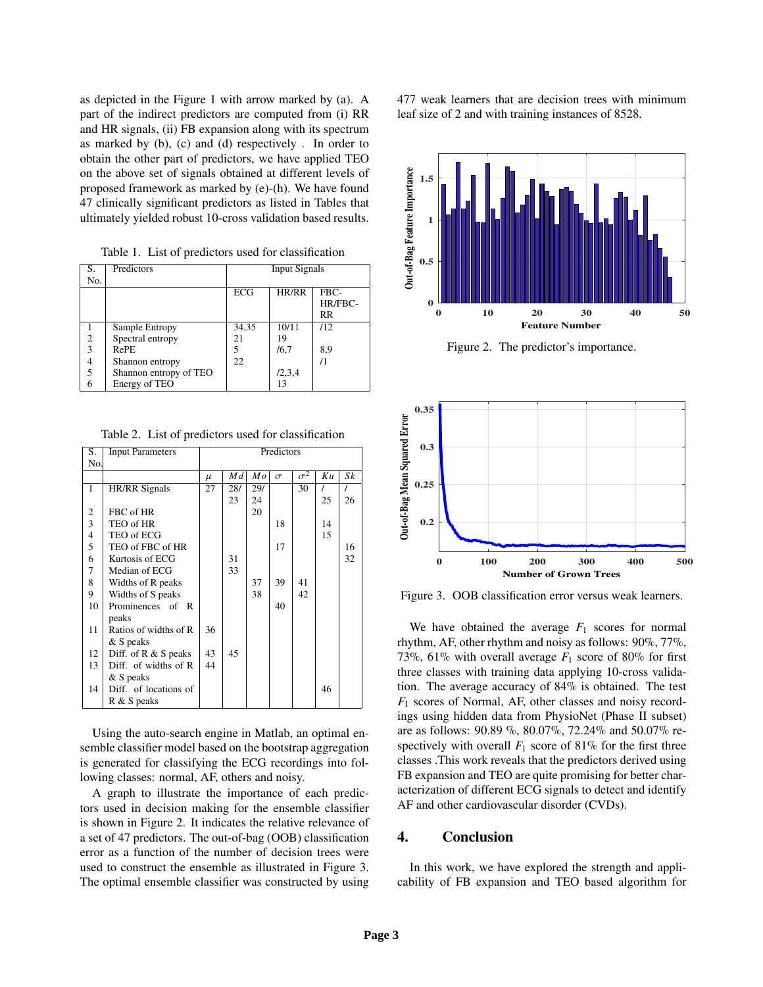as depicted in the Figure 1 with arrow marked by (a). A part of the indirect predictors are computed from (i) RR and HR signals, (ii) FB expansion along with its spectrum as marked by (b), (c) and (d) respectively . In order to obtain the other part of predictors, we have applied TEO on the above set of signals obtained at different levels of proposed framework as marked by (e)-(h). We have found 47 clinically significant predictors as listed in Tables that ultimately yielded robust 10-cross validation based results.

Table 1. List of predictors used for classification

| S.             | Predictors             | <b>Input Signals</b> |        |            |  |  |
|----------------|------------------------|----------------------|--------|------------|--|--|
| No.            |                        |                      |        |            |  |  |
|                |                        | ECG                  | HR/RR  | FBC-       |  |  |
|                |                        |                      |        | HR/FBC-    |  |  |
|                |                        |                      |        | RR         |  |  |
|                | Sample Entropy         | 34,35                | 10/11  | /12        |  |  |
| $\overline{c}$ | Spectral entropy       | 21                   | 19     |            |  |  |
| 3              | <b>RePE</b>            | 5                    | /6,7   | 8,9        |  |  |
|                | Shannon entropy        | 22                   |        | $\sqrt{1}$ |  |  |
| 5              | Shannon entropy of TEO |                      | 12,3,4 |            |  |  |
| 6              | Energy of TEO          |                      | 13     |            |  |  |

Table 2. List of predictors used for classification

| S.                      | <b>Input Parameters</b> | Predictors |     |     |          |            |    |    |  |  |
|-------------------------|-------------------------|------------|-----|-----|----------|------------|----|----|--|--|
| No.                     |                         |            |     |     |          |            |    |    |  |  |
|                         |                         | $\mu$      | Md  | Mo  | $\sigma$ | $\sigma^2$ | Ku | Sk |  |  |
| 1                       | <b>HR/RR</b> Signals    | 27         | 28/ | 29/ |          | 30         |    |    |  |  |
|                         |                         |            | 23  | 24  |          |            | 25 | 26 |  |  |
| $\sqrt{2}$              | FBC of HR               |            |     | 20  |          |            |    |    |  |  |
| 3                       | TEO of HR               |            |     |     | 18       |            | 14 |    |  |  |
| $\overline{\mathbf{4}}$ | TEO of ECG              |            |     |     |          |            | 15 |    |  |  |
| 5                       | TEO of FBC of HR        |            |     |     | 17       |            |    | 16 |  |  |
| 6                       | Kurtosis of ECG         |            | 31  |     |          |            |    | 32 |  |  |
| 7                       | Median of ECG           |            | 33  |     |          |            |    |    |  |  |
| 8                       | Widths of R peaks       |            |     | 37  | 39       | 41         |    |    |  |  |
| 9                       | Widths of S peaks       |            |     | 38  |          | 42         |    |    |  |  |
| 10                      | Prominences of R        |            |     |     | 40       |            |    |    |  |  |
|                         | peaks                   |            |     |     |          |            |    |    |  |  |
| 11                      | Ratios of widths of R   | 36         |     |     |          |            |    |    |  |  |
|                         | & S peaks               |            |     |     |          |            |    |    |  |  |
| 12                      | Diff. of $R & S$ peaks  | 43         | 45  |     |          |            |    |    |  |  |
| 13                      | Diff. of widths of R    | 44         |     |     |          |            |    |    |  |  |
|                         | & S peaks               |            |     |     |          |            |    |    |  |  |
| 14                      | Diff. of locations of   |            |     |     |          |            | 46 |    |  |  |
|                         | R & S peaks             |            |     |     |          |            |    |    |  |  |

Using the auto-search engine in Matlab, an optimal ensemble classifier model based on the bootstrap aggregation is generated for classifying the ECG recordings into following classes: normal, AF, others and noisy.

A graph to illustrate the importance of each predictors used in decision making for the ensemble classifier is shown in Figure 2. It indicates the relative relevance of a set of 47 predictors. The out-of-bag (OOB) classification error as a function of the number of decision trees were used to construct the ensemble as illustrated in Figure 3. The optimal ensemble classifier was constructed by using 477 weak learners that are decision trees with minimum leaf size of 2 and with training instances of 8528.



Figure 2. The predictor's importance.



Figure 3. OOB classification error versus weak learners.

We have obtained the average  $F_1$  scores for normal rhythm, AF, other rhythm and noisy as follows: 90%, 77%, 73%, 61% with overall average  $F_1$  score of 80% for first three classes with training data applying 10-cross validation. The average accuracy of 84% is obtained. The test *F*<sup>1</sup> scores of Normal, AF, other classes and noisy recordings using hidden data from PhysioNet (Phase II subset) are as follows: 90.89 %, 80.07%, 72.24% and 50.07% respectively with overall  $F_1$  score of 81% for the first three classes .This work reveals that the predictors derived using FB expansion and TEO are quite promising for better characterization of different ECG signals to detect and identify AF and other cardiovascular disorder (CVDs).

#### 4. Conclusion

In this work, we have explored the strength and applicability of FB expansion and TEO based algorithm for